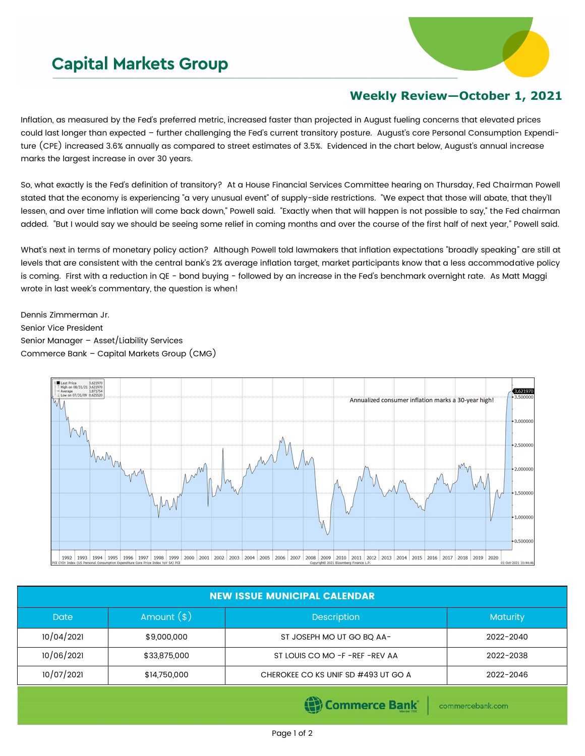## **Capital Markets Group**



## **Weekly Review—October 1, 2021**

Inflation, as measured by the Fed's preferred metric, increased faster than projected in August fueling concerns that elevated prices could last longer than expected – further challenging the Fed's current transitory posture. August's core Personal Consumption Expenditure (CPE) increased 3.6% annually as compared to street estimates of 3.5%. Evidenced in the chart below, August's annual increase marks the largest increase in over 30 years.

So, what exactly is the Fed's definition of transitory? At a House Financial Services Committee hearing on Thursday, Fed Chairman Powell stated that the economy is experiencing "a very unusual event" of supply-side restrictions. "We expect that those will abate, that they'll lessen, and over time inflation will come back down," Powell said. "Exactly when that will happen is not possible to say," the Fed chairman added. "But I would say we should be seeing some relief in coming months and over the course of the first half of next year," Powell said.

What's next in terms of monetary policy action? Although Powell told lawmakers that inflation expectations "broadly speaking" are still at levels that are consistent with the central bank's 2% average inflation target, market participants know that a less accommodative policy is coming. First with a reduction in QE - bond buying - followed by an increase in the Fed's benchmark overnight rate. As Matt Maggi wrote in last week's commentary, the question is when!

Dennis Zimmerman Jr. Senior Vice President Senior Manager – Asset/Liability Services Commerce Bank – Capital Markets Group (CMG)



| <b>NEW ISSUE MUNICIPAL CALENDAR</b> |              |                                     |                 |  |  |  |  |
|-------------------------------------|--------------|-------------------------------------|-----------------|--|--|--|--|
| Date                                | Amount $(*)$ | <b>Description</b>                  | <b>Maturity</b> |  |  |  |  |
| 10/04/2021                          | \$9,000,000  | ST JOSEPH MO UT GO BQ AA-           | 2022-2040       |  |  |  |  |
| 10/06/2021                          | \$33,875,000 | ST LOUIS CO MO -F -REF -REV AA      | 2022-2038       |  |  |  |  |
| 10/07/2021                          | \$14,750,000 | CHEROKEE CO KS UNIF SD #493 UT GO A | 2022-2046       |  |  |  |  |
|                                     |              |                                     |                 |  |  |  |  |

(e) Commerce Bank

commercebank.com